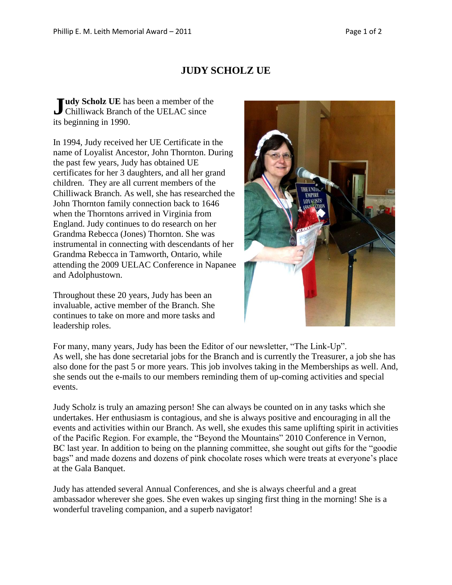## **JUDY SCHOLZ UE**

**Let Le UE** has been a member of the Judy Scholz UE has been a member of the UELAC since its beginning in 1990.

In 1994, Judy received her UE Certificate in the name of Loyalist Ancestor, John Thornton. During the past few years, Judy has obtained UE certificates for her 3 daughters, and all her grand children. They are all current members of the Chilliwack Branch. As well, she has researched the John Thornton family connection back to 1646 when the Thorntons arrived in Virginia from England. Judy continues to do research on her Grandma Rebecca (Jones) Thornton. She was instrumental in connecting with descendants of her Grandma Rebecca in Tamworth, Ontario, while attending the 2009 UELAC Conference in Napanee and Adolphustown.

Throughout these 20 years, Judy has been an invaluable, active member of the Branch. She continues to take on more and more tasks and leadership roles.



For many, many years, Judy has been the Editor of our newsletter, "The Link-Up". As well, she has done secretarial jobs for the Branch and is currently the Treasurer, a job she has also done for the past 5 or more years. This job involves taking in the Memberships as well. And, she sends out the e-mails to our members reminding them of up-coming activities and special events.

Judy Scholz is truly an amazing person! She can always be counted on in any tasks which she undertakes. Her enthusiasm is contagious, and she is always positive and encouraging in all the events and activities within our Branch. As well, she exudes this same uplifting spirit in activities of the Pacific Region. For example, the "Beyond the Mountains" 2010 Conference in Vernon, BC last year. In addition to being on the planning committee, she sought out gifts for the "goodie bags" and made dozens and dozens of pink chocolate roses which were treats at everyone's place at the Gala Banquet.

Judy has attended several Annual Conferences, and she is always cheerful and a great ambassador wherever she goes. She even wakes up singing first thing in the morning! She is a wonderful traveling companion, and a superb navigator!